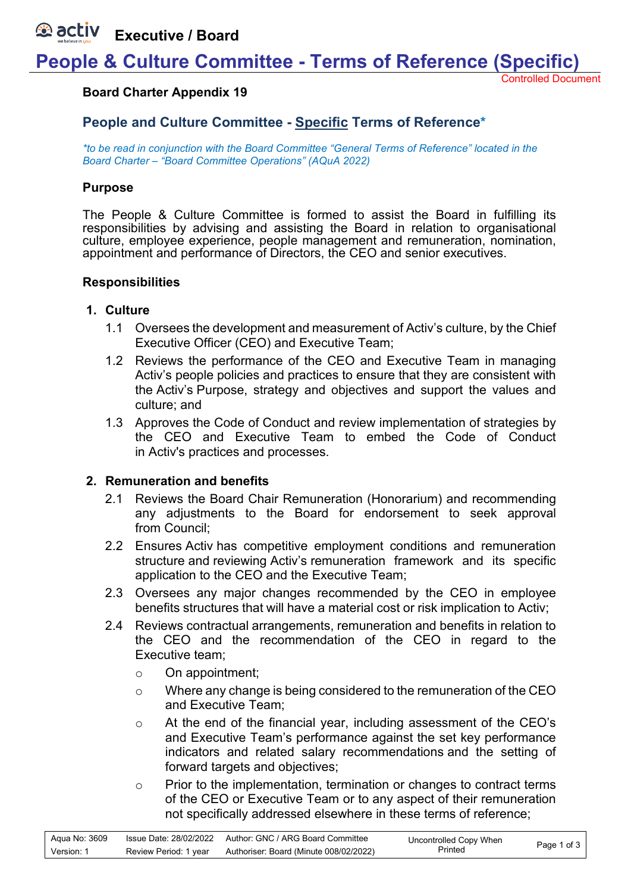**Executive / Board**

# **People & Culture Committee - Terms of Reference (Specific)**

Controlled Document

## **Board Charter Appendix 19**

## **People and Culture Committee - Specific Terms of Reference\***

*\*to be read in conjunction with the Board Committee "General Terms of Reference" located in the Board Charter – "Board Committee Operations" (AQuA 2022)*

## **Purpose**

The People & Culture Committee is formed to assist the Board in fulfilling its responsibilities by advising and assisting the Board in relation to organisational culture, employee experience, people management and remuneration, nomination, appointment and performance of Directors, the CEO and senior executives.

## **Responsibilities**

### **1. Culture**

- 1.1 Oversees the development and measurement of Activ's culture, by the Chief Executive Officer (CEO) and Executive Team;
- 1.2 Reviews the performance of the CEO and Executive Team in managing Activ's people policies and practices to ensure that they are consistent with the Activ's Purpose, strategy and objectives and support the values and culture; and
- 1.3 Approves the Code of Conduct and review implementation of strategies by the CEO and Executive Team to embed the Code of Conduct in Activ's practices and processes.

### **2. Remuneration and benefits**

- 2.1 Reviews the Board Chair Remuneration (Honorarium) and recommending any adjustments to the Board for endorsement to seek approval from Council;
- 2.2 Ensures Activ has competitive employment conditions and remuneration structure and reviewing Activ's remuneration framework and its specific application to the CEO and the Executive Team;
- 2.3 Oversees any major changes recommended by the CEO in employee benefits structures that will have a material cost or risk implication to Activ;
- 2.4 Reviews contractual arrangements, remuneration and benefits in relation to the CEO and the recommendation of the CEO in regard to the Executive team;
	- o On appointment;
	- o Where any change is being considered to the remuneration of the CEO and Executive Team;
	- o At the end of the financial year, including assessment of the CEO's and Executive Team's performance against the set key performance indicators and related salary recommendations and the setting of forward targets and objectives;
	- o Prior to the implementation, termination or changes to contract terms of the CEO or Executive Team or to any aspect of their remuneration not specifically addressed elsewhere in these terms of reference;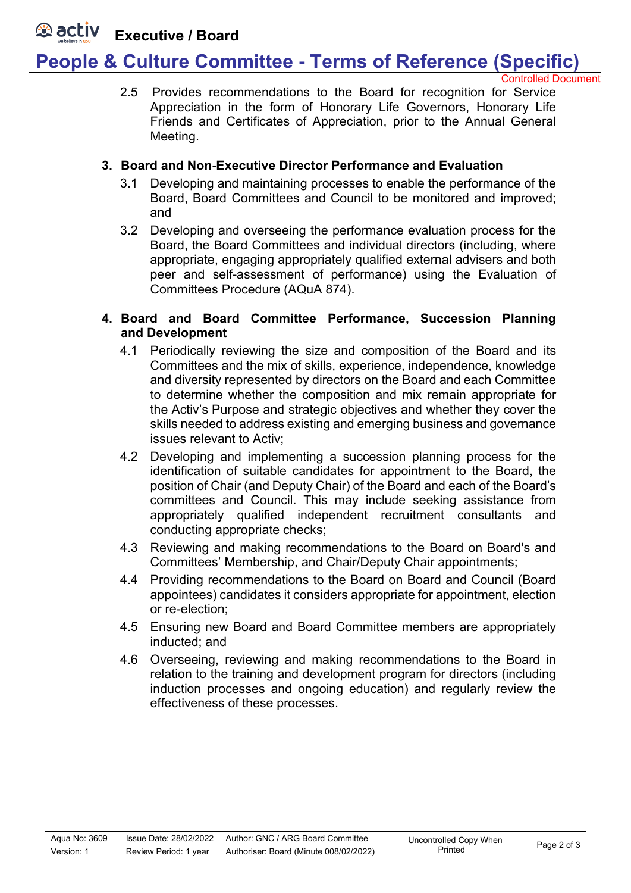#### **E** activ **Executive / Board**

# **People & Culture Committee - Terms of Reference (Specific)**

Controlled Document

2.5 Provides recommendations to the Board for recognition for Service Appreciation in the form of Honorary Life Governors, Honorary Life Friends and Certificates of Appreciation, prior to the Annual General Meeting.

## **3. Board and Non-Executive Director Performance and Evaluation**

- 3.1 Developing and maintaining processes to enable the performance of the Board, Board Committees and Council to be monitored and improved; and
- 3.2 Developing and overseeing the performance evaluation process for the Board, the Board Committees and individual directors (including, where appropriate, engaging appropriately qualified external advisers and both peer and self-assessment of performance) using the Evaluation of Committees Procedure (AQuA 874).

## **4. Board and Board Committee Performance, Succession Planning and Development**

- 4.1 Periodically reviewing the size and composition of the Board and its Committees and the mix of skills, experience, independence, knowledge and diversity represented by directors on the Board and each Committee to determine whether the composition and mix remain appropriate for the Activ's Purpose and strategic objectives and whether they cover the skills needed to address existing and emerging business and governance issues relevant to Activ;
- 4.2 Developing and implementing a succession planning process for the identification of suitable candidates for appointment to the Board, the position of Chair (and Deputy Chair) of the Board and each of the Board's committees and Council. This may include seeking assistance from appropriately qualified independent recruitment consultants and conducting appropriate checks;
- 4.3 Reviewing and making recommendations to the Board on Board's and Committees' Membership, and Chair/Deputy Chair appointments;
- 4.4 Providing recommendations to the Board on Board and Council (Board appointees) candidates it considers appropriate for appointment, election or re-election;
- 4.5 Ensuring new Board and Board Committee members are appropriately inducted; and
- 4.6 Overseeing, reviewing and making recommendations to the Board in relation to the training and development program for directors (including induction processes and ongoing education) and regularly review the effectiveness of these processes.